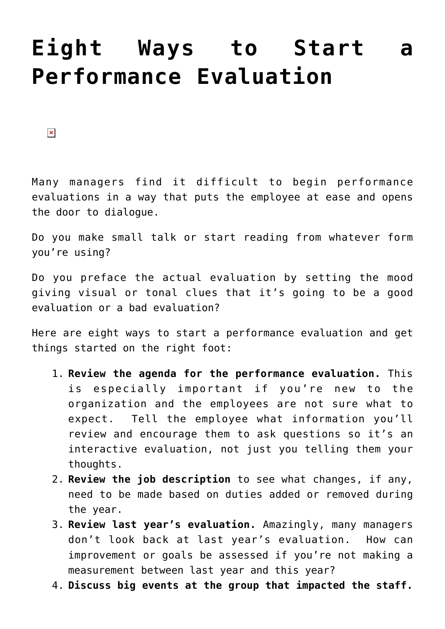## **[Eight Ways to Start a](https://managemypractice.com/eight-ways-to-start-a-performance-evaluation/) [Performance Evaluation](https://managemypractice.com/eight-ways-to-start-a-performance-evaluation/)**

 $\pmb{\times}$ 

Many managers find it difficult to begin performance evaluations in a way that puts the employee at ease and opens the door to dialogue.

Do you make small talk or start reading from whatever form you're using?

Do you preface the actual evaluation by setting the mood giving visual or tonal clues that it's going to be a good evaluation or a bad evaluation?

Here are eight ways to start a performance evaluation and get things started on the right foot:

- 1. **Review the agenda for the performance evaluation.** This is especially important if you're new to the organization and the employees are not sure what to expect. Tell the employee what information you'll review and encourage them to ask questions so it's an interactive evaluation, not just you telling them your thoughts.
- 2. **Review the job description** to see what changes, if any, need to be made based on duties added or removed during the year.
- 3. **Review last year's evaluation.** Amazingly, many managers don't look back at last year's evaluation. How can improvement or goals be assessed if you're not making a measurement between last year and this year?
- 4. **Discuss big events at the group that impacted the staff.**